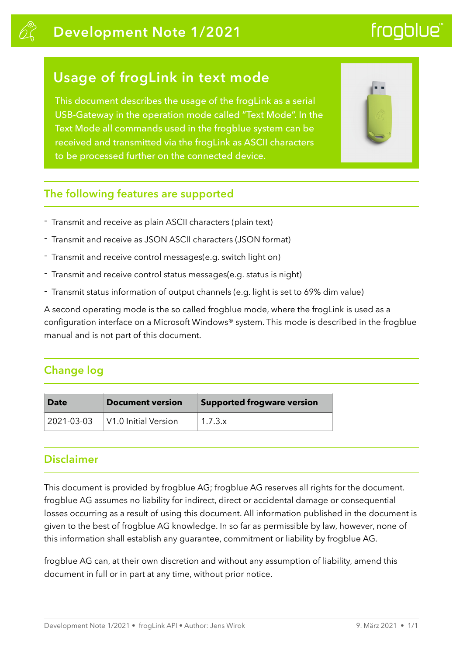# **Development Note 1/2021**

# frogblue<sup>®</sup>

# **Usage of frogLink in text mode**

This document describes the usage of the frogLink as a serial USB-Gateway in the operation mode called "Text Mode". In the Text Mode all commands used in the frogblue system can be received and transmitted via the frogLink as ASCII characters to be processed further on the connected device.



### **The following features are supported**

- Transmit and receive as plain ASCII characters (plain text)
- Transmit and receive as JSON ASCII characters (JSON format)
- Transmit and receive control messages(e.g. switch light on)
- Transmit and receive control status messages(e.g. status is night)
- Transmit status information of output channels (e.g. light is set to 69% dim value)

A second operating mode is the so called frogblue mode, where the frogLink is used as a configuration interface on a Microsoft Windows® system. This mode is described in the frogblue manual and is not part of this document.

## **Change log**

| Date       | Document version     | <b>Supported frogware version</b> |
|------------|----------------------|-----------------------------------|
| 2021-03-03 | V1.0 Initial Version | 1.7.3.x                           |

## **Disclaimer**

This document is provided by frogblue AG; frogblue AG reserves all rights for the document. frogblue AG assumes no liability for indirect, direct or accidental damage or consequential losses occurring as a result of using this document. All information published in the document is given to the best of frogblue AG knowledge. In so far as permissible by law, however, none of this information shall establish any guarantee, commitment or liability by frogblue AG.

frogblue AG can, at their own discretion and without any assumption of liability, amend this document in full or in part at any time, without prior notice.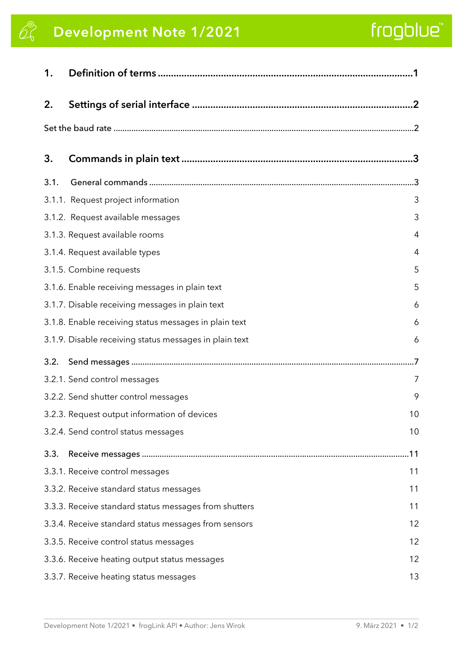# **Development Note 1/2021**

# frogblue"

| 1.   |                                                        |                   |
|------|--------------------------------------------------------|-------------------|
| 2.   |                                                        |                   |
|      |                                                        |                   |
| 3.   |                                                        |                   |
| 3.1. |                                                        |                   |
|      | 3.1.1. Request project information                     | 3                 |
|      | 3.1.2. Request available messages                      | 3                 |
|      | 3.1.3. Request available rooms                         | 4                 |
|      | 3.1.4. Request available types                         | 4                 |
|      | 3.1.5. Combine requests                                | 5                 |
|      | 3.1.6. Enable receiving messages in plain text         | 5                 |
|      | 3.1.7. Disable receiving messages in plain text        | 6                 |
|      | 3.1.8. Enable receiving status messages in plain text  | 6                 |
|      | 3.1.9. Disable receiving status messages in plain text | 6                 |
| 3.2. |                                                        |                   |
|      | 3.2.1. Send control messages                           | 7                 |
|      | 3.2.2. Send shutter control messages                   | 9                 |
|      | 3.2.3. Request output information of devices           | 10                |
|      | 3.2.4. Send control status messages                    | 10                |
| 3.3. |                                                        | 11                |
|      | 3.3.1. Receive control messages                        | 11                |
|      | 3.3.2. Receive standard status messages                | 11                |
|      | 3.3.3. Receive standard status messages from shutters  | 11                |
|      | 3.3.4. Receive standard status messages from sensors   | 12                |
|      | 3.3.5. Receive control status messages                 | 12                |
|      | 3.3.6. Receive heating output status messages          | $12 \overline{ }$ |
|      | 3.3.7. Receive heating status messages                 | 13                |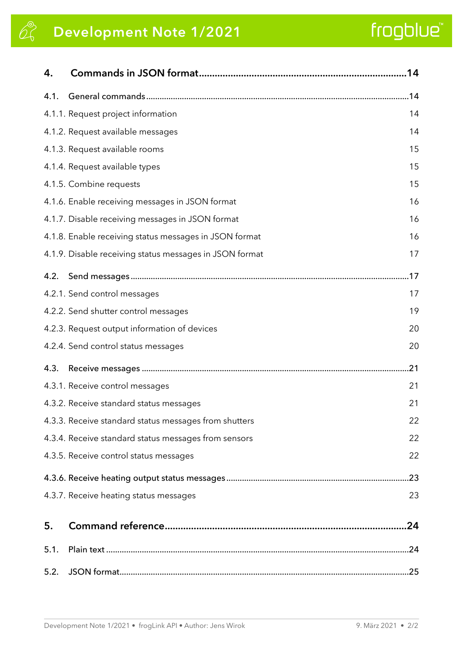# **Development Note 1/2021**

# frogblue"

| 4.   |                                                         | .14 |
|------|---------------------------------------------------------|-----|
| 4.1. |                                                         |     |
|      | 4.1.1. Request project information                      | 14  |
|      | 4.1.2. Request available messages                       | 14  |
|      | 4.1.3. Request available rooms                          | 15  |
|      | 4.1.4. Request available types                          | 15  |
|      | 4.1.5. Combine requests                                 | 15  |
|      | 4.1.6. Enable receiving messages in JSON format         | 16  |
|      | 4.1.7. Disable receiving messages in JSON format        | 16  |
|      | 4.1.8. Enable receiving status messages in JSON format  | 16  |
|      | 4.1.9. Disable receiving status messages in JSON format | 17  |
| 4.2. |                                                         |     |
|      | 4.2.1. Send control messages                            | 17  |
|      | 4.2.2. Send shutter control messages                    | 19  |
|      | 4.2.3. Request output information of devices            | 20  |
|      | 4.2.4. Send control status messages                     | 20  |
| 4.3. |                                                         | 21  |
|      | 4.3.1. Receive control messages                         | 21  |
|      | 4.3.2. Receive standard status messages                 | 21  |
|      | 4.3.3. Receive standard status messages from shutters   | 22  |
|      | 4.3.4. Receive standard status messages from sensors    | 22  |
|      | 4.3.5. Receive control status messages                  | 22  |
|      |                                                         | .23 |
|      | 4.3.7. Receive heating status messages                  | 23  |
| 5.   |                                                         | .24 |
| 5.1. |                                                         |     |
| 5.2. |                                                         |     |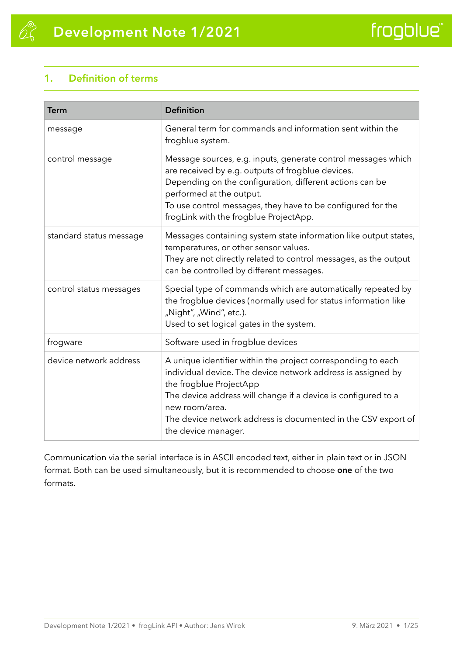## <span id="page-3-0"></span>**1. Definition of terms**

| <b>Term</b>             | <b>Definition</b>                                                                                                                                                                                                                                                                                                                  |
|-------------------------|------------------------------------------------------------------------------------------------------------------------------------------------------------------------------------------------------------------------------------------------------------------------------------------------------------------------------------|
| message                 | General term for commands and information sent within the<br>frogblue system.                                                                                                                                                                                                                                                      |
| control message         | Message sources, e.g. inputs, generate control messages which<br>are received by e.g. outputs of frogblue devices.<br>Depending on the configuration, different actions can be<br>performed at the output.<br>To use control messages, they have to be configured for the<br>frogLink with the frogblue ProjectApp.                |
| standard status message | Messages containing system state information like output states,<br>temperatures, or other sensor values.<br>They are not directly related to control messages, as the output<br>can be controlled by different messages.                                                                                                          |
| control status messages | Special type of commands which are automatically repeated by<br>the frogblue devices (normally used for status information like<br>"Night", "Wind", etc.).<br>Used to set logical gates in the system.                                                                                                                             |
| frogware                | Software used in frogblue devices                                                                                                                                                                                                                                                                                                  |
| device network address  | A unique identifier within the project corresponding to each<br>individual device. The device network address is assigned by<br>the frogblue ProjectApp<br>The device address will change if a device is configured to a<br>new room/area.<br>The device network address is documented in the CSV export of<br>the device manager. |

Communication via the serial interface is in ASCII encoded text, either in plain text or in JSON format. Both can be used simultaneously, but it is recommended to choose **one** of the two formats.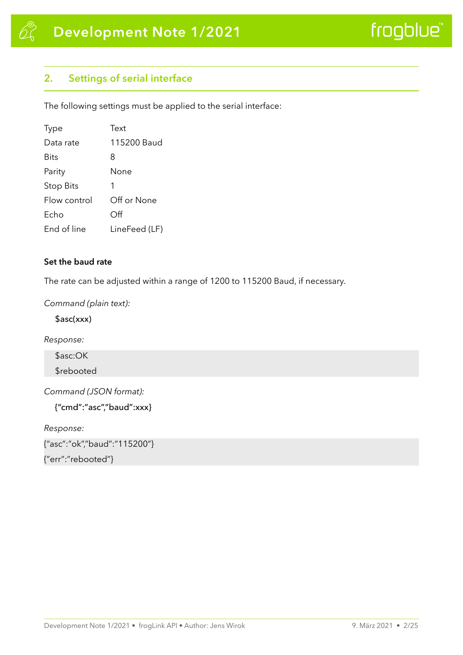### <span id="page-4-0"></span>**2. Settings of serial interface**

The following settings must be applied to the serial interface:

| <b>Type</b>  | Text          |
|--------------|---------------|
| Data rate    | 115200 Baud   |
| Bits         | 8             |
| Parity       | None          |
| Stop Bits    | 1             |
| Flow control | Off or None   |
| Echo         | Off           |
| End of line  | LineFeed (LF) |

#### <span id="page-4-1"></span>**Set the baud rate**

The rate can be adjusted within a range of 1200 to 115200 Baud, if necessary.

*Command (plain text):* 

\$asc(xxx)

*Response:* 

\$asc:OK

\$rebooted

*Command (JSON format):* 

{"cmd":"asc","baud":xxx}

*Response:* 

{"asc":"ok","baud":"115200"}

{"err":"rebooted"}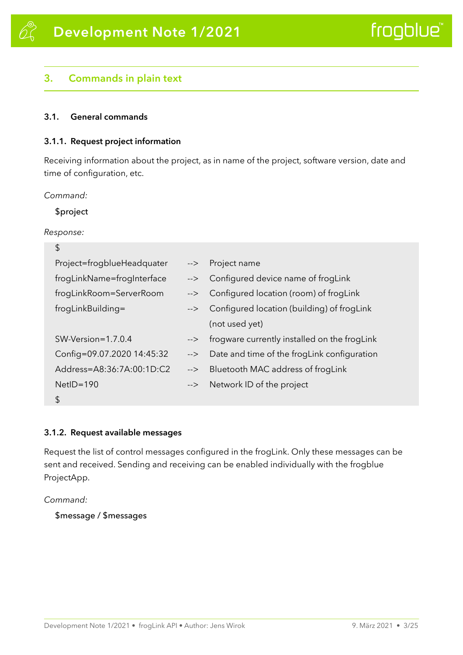#### <span id="page-5-0"></span>**3. Commands in plain text**

#### <span id="page-5-1"></span>**3.1. General commands**

#### <span id="page-5-2"></span>**3.1.1. Request project information**

Receiving information about the project, as in name of the project, software version, date and time of configuration, etc.

*Command:* 

\$project

*Response:* 

| \$                         |               |                                              |
|----------------------------|---------------|----------------------------------------------|
| Project=frogblueHeadquater | $\rightarrow$ | Project name                                 |
| frogLinkName=frogInterface | $\rightarrow$ | Configured device name of frogLink           |
| frogLinkRoom=ServerRoom    | $\rightarrow$ | Configured location (room) of frogLink       |
| frogLinkBuilding=          | $\rightarrow$ | Configured location (building) of frogLink   |
|                            |               | (not used yet)                               |
| $SW-Version = 1.7.0.4$     | -->           | frogware currently installed on the frogLink |
| Config=09.07.2020 14:45:32 | -->           | Date and time of the frogLink configuration  |
| Address=A8:36:7A:00:1D:C2  | -->           | Bluetooth MAC address of frogLink            |
| $NetID = 190$              | $\rightarrow$ | Network ID of the project                    |
| \$                         |               |                                              |

#### <span id="page-5-3"></span>**3.1.2. Request available messages**

Request the list of control messages configured in the frogLink. Only these messages can be sent and received. Sending and receiving can be enabled individually with the frogblue ProjectApp.

*Command:* 

\$message / \$messages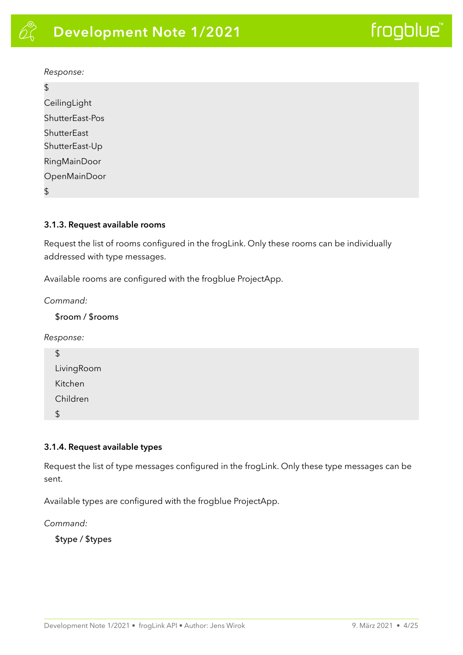#### *Response:*

 $\hat{\mathcal{L}}$ 

| د ا                 |
|---------------------|
| CeilingLight        |
| ShutterEast-Pos     |
| ShutterEast         |
| ShutterEast-Up      |
| <b>RingMainDoor</b> |
| OpenMainDoor        |
| \$                  |
|                     |

#### <span id="page-6-0"></span>**3.1.3. Request available rooms**

Request the list of rooms configured in the frogLink. Only these rooms can be individually addressed with type messages.

Available rooms are configured with the frogblue ProjectApp.

*Command:* 

#### \$room / \$rooms

*Response:* 

| $\boldsymbol{\mathsf{S}}$ |  |
|---------------------------|--|
| LivingRoom                |  |
| Kitchen                   |  |
| Children                  |  |
| $\updownarrow$            |  |
|                           |  |

#### <span id="page-6-1"></span>**3.1.4. Request available types**

Request the list of type messages configured in the frogLink. Only these type messages can be sent.

Available types are configured with the frogblue ProjectApp.

*Command:* 

\$type / \$types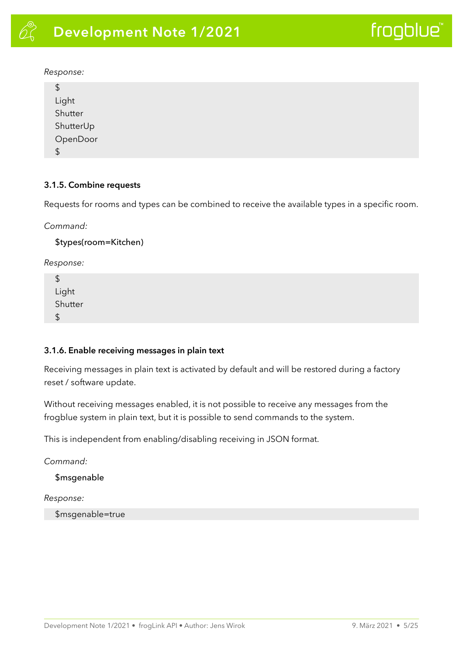#### *Response:*

| $\boldsymbol{\theta}$                     |  |  |
|-------------------------------------------|--|--|
| Light<br>Shutter<br>ShutterUp<br>OpenDoor |  |  |
|                                           |  |  |
|                                           |  |  |
|                                           |  |  |
| $\sqrt{2}$                                |  |  |
|                                           |  |  |

#### <span id="page-7-0"></span>**3.1.5. Combine requests**

Requests for rooms and types can be combined to receive the available types in a specific room.

*Command:* 

\$types(room=Kitchen)

*Response:* 

\$ Light Shutter \$

#### <span id="page-7-1"></span>**3.1.6. Enable receiving messages in plain text**

Receiving messages in plain text is activated by default and will be restored during a factory reset / software update.

Without receiving messages enabled, it is not possible to receive any messages from the frogblue system in plain text, but it is possible to send commands to the system.

This is independent from enabling/disabling receiving in JSON format.

*Command:* 

\$msgenable

*Response:* 

\$msgenable=true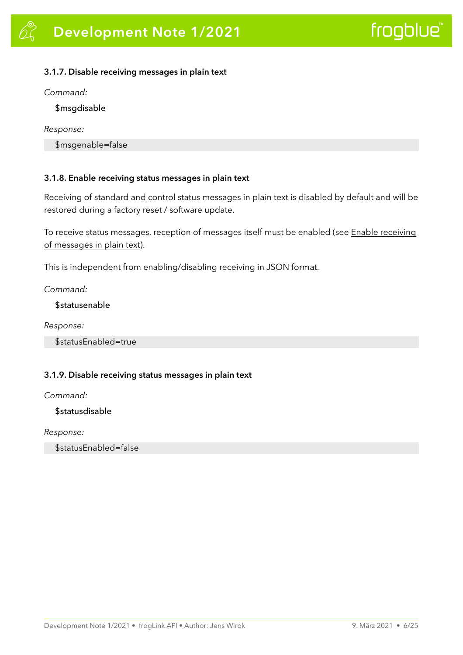#### <span id="page-8-0"></span>**3.1.7. Disable receiving messages in plain text**

*Command:* 

\$msgdisable

*Response:* 

\$msgenable=false

#### <span id="page-8-1"></span>**3.1.8. Enable receiving status messages in plain text**

Receiving of standard and control status messages in plain text is disabled by default and will be restored during a factory reset / software update.

To receive status messages, reception of messages itself must be enabled (see Enable receiving of messages in plain text).

This is independent from enabling/disabling receiving in JSON format.

*Command:* 

*<u>Sstatusenable</u>* 

*Response:* 

\$statusEnabled=true

#### <span id="page-8-2"></span>**3.1.9. Disable receiving status messages in plain text**

*Command:* 

*<u>\$statusdisable</u>* 

*Response:* 

\$statusEnabled=false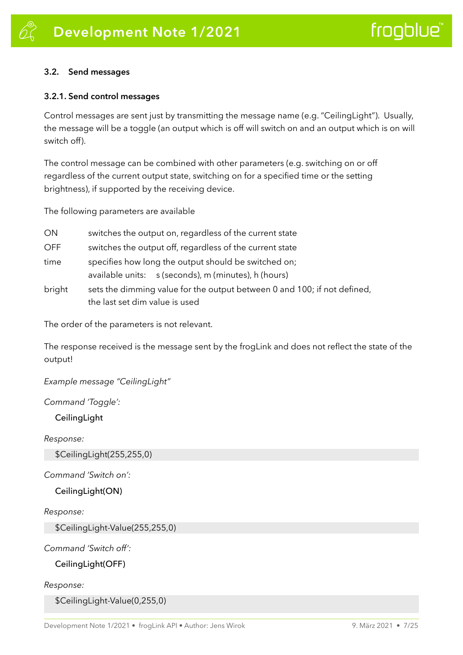#### <span id="page-9-0"></span>**3.2. Send messages**

#### <span id="page-9-1"></span>**3.2.1. Send control messages**

Control messages are sent just by transmitting the message name (e.g. "CeilingLight"). Usually, the message will be a toggle (an output which is off will switch on and an output which is on will switch off).

The control message can be combined with other parameters (e.g. switching on or off regardless of the current output state, switching on for a specified time or the setting brightness), if supported by the receiving device.

The following parameters are available

| ON         | switches the output on, regardless of the current state                                                      |  |
|------------|--------------------------------------------------------------------------------------------------------------|--|
| <b>OFF</b> | switches the output off, regardless of the current state                                                     |  |
| time       | specifies how long the output should be switched on;<br>available units: s (seconds), m (minutes), h (hours) |  |
| bright     | sets the dimming value for the output between 0 and 100; if not defined,<br>the last set dim value is used   |  |

The order of the parameters is not relevant.

The response received is the message sent by the frogLink and does not reflect the state of the output!

*Example message "CeilingLight"* 

#### *Command 'Toggle':*

#### **CeilingLight**

*Response:* 

\$CeilingLight(255,255,0)

#### *Command 'Switch on':*

CeilingLight(ON)

#### *Response:*

\$CeilingLight-Value(255,255,0)

*Command 'Switch off':* 

#### CeilingLight(OFF)

*Response:* 

\$CeilingLight-Value(0,255,0)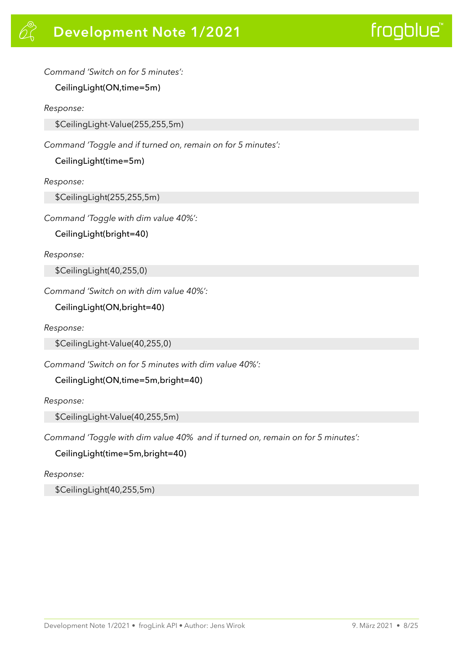*Command 'Switch on for 5 minutes':* 

CeilingLight(ON,time=5m)

*Response:* 

\$CeilingLight-Value(255,255,5m)

*Command 'Toggle and if turned on, remain on for 5 minutes':* 

CeilingLight(time=5m)

*Response:* 

\$CeilingLight(255,255,5m)

*Command 'Toggle with dim value 40%':* 

CeilingLight(bright=40)

*Response:* 

\$CeilingLight(40,255,0)

*Command 'Switch on with dim value 40%':* 

CeilingLight(ON,bright=40)

*Response:* 

\$CeilingLight-Value(40,255,0)

*Command 'Switch on for 5 minutes with dim value 40%':* 

CeilingLight(ON,time=5m,bright=40)

*Response:* 

\$CeilingLight-Value(40,255,5m)

*Command 'Toggle with dim value 40% and if turned on, remain on for 5 minutes':* 

CeilingLight(time=5m,bright=40)

*Response:* 

\$CeilingLight(40,255,5m)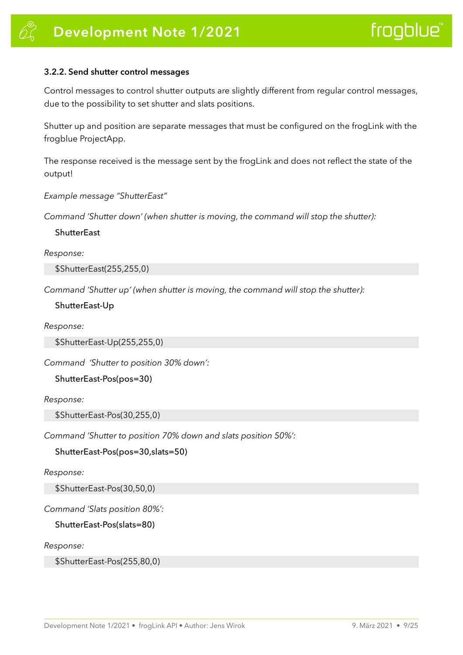#### <span id="page-11-0"></span>**3.2.2. Send shutter control messages**

Control messages to control shutter outputs are slightly different from regular control messages, due to the possibility to set shutter and slats positions.

Shutter up and position are separate messages that must be configured on the frogLink with the frogblue ProjectApp.

The response received is the message sent by the frogLink and does not reflect the state of the output!

*Example message "ShutterEast"* 

*Command 'Shutter down' (when shutter is moving, the command will stop the shutter):* 

**ShutterEast** 

*Response:* 

\$ShutterEast(255,255,0)

*Command 'Shutter up' (when shutter is moving, the command will stop the shutter):* 

ShutterEast-Up

*Response:* 

\$ShutterEast-Up(255,255,0)

*Command 'Shutter to position 30% down':* 

ShutterEast-Pos(pos=30)

*Response:* 

\$ShutterEast-Pos(30,255,0)

*Command 'Shutter to position 70% down and slats position 50%':* 

ShutterEast-Pos(pos=30,slats=50)

*Response:* 

\$ShutterEast-Pos(30,50,0)

*Command 'Slats position 80%':* 

ShutterEast-Pos(slats=80)

*Response:* 

\$ShutterEast-Pos(255,80,0)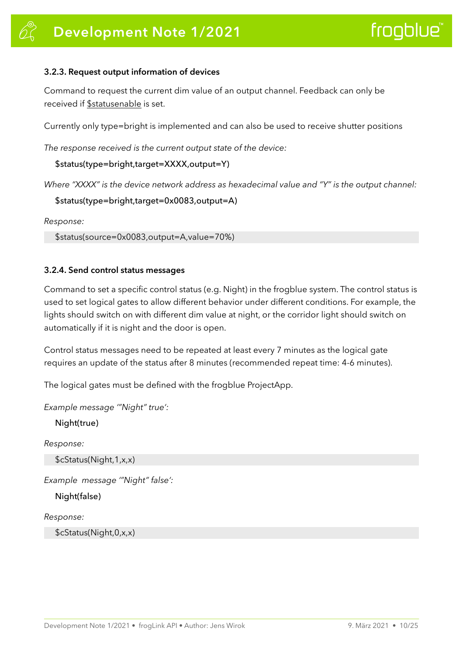#### <span id="page-12-0"></span>**3.2.3. Request output information of devices**

Command to request the current dim value of an output channel. Feedback can only be received if \$statusenable is set.

Currently only type=bright is implemented and can also be used to receive shutter positions

*The response received is the current output state of the device:* 

\$status(type=bright,target=XXXX,output=Y)

*Where "XXXX" is the device network address as hexadecimal value and "Y" is the output channel:* 

```
$status(type=bright,target=0x0083,output=A)
```
*Response:* 

\$status(source=0x0083,output=A,value=70%)

#### <span id="page-12-1"></span>**3.2.4. Send control status messages**

Command to set a specific control status (e.g. Night) in the frogblue system. The control status is used to set logical gates to allow different behavior under different conditions. For example, the lights should switch on with different dim value at night, or the corridor light should switch on automatically if it is night and the door is open.

Control status messages need to be repeated at least every 7 minutes as the logical gate requires an update of the status after 8 minutes (recommended repeat time: 4-6 minutes).

The logical gates must be defined with the frogblue ProjectApp.

*Example message '"Night" true':* 

Night(true)

*Response:* 

\$cStatus(Night,1,x,x)

*Example message '"Night" false':* 

Night(false)

*Response:* 

\$cStatus(Night,0,x,x)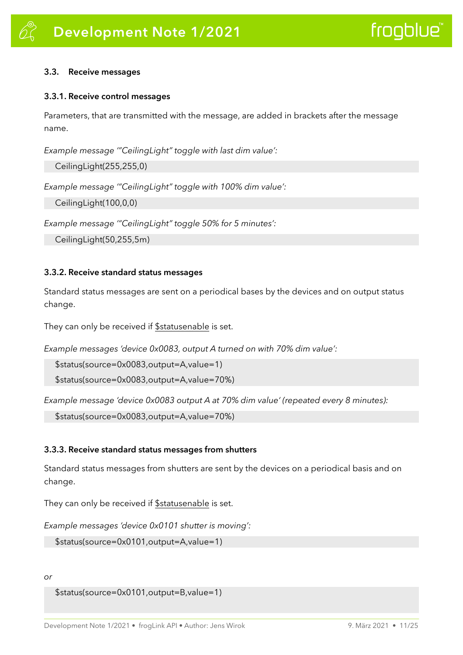#### <span id="page-13-0"></span>**3.3. Receive messages**

#### <span id="page-13-1"></span>**3.3.1. Receive control messages**

Parameters, that are transmitted with the message, are added in brackets after the message name.

*Example message '"CeilingLight" toggle with last dim value':* 

CeilingLight(255,255,0)

*Example message '"CeilingLight" toggle with 100% dim value':* 

CeilingLight(100,0,0)

*Example message '"CeilingLight" toggle 50% for 5 minutes':* 

CeilingLight(50,255,5m)

#### <span id="page-13-2"></span>**3.3.2. Receive standard status messages**

Standard status messages are sent on a periodical bases by the devices and on output status change.

They can only be received if **\$statusenable** is set.

*Example messages 'device 0x0083, output A turned on with 70% dim value':* 

\$status(source=0x0083,output=A,value=1)

\$status(source=0x0083,output=A,value=70%)

*Example message 'device 0x0083 output A at 70% dim value' (repeated every 8 minutes):* 

\$status(source=0x0083,output=A,value=70%)

#### <span id="page-13-3"></span>**3.3.3. Receive standard status messages from shutters**

Standard status messages from shutters are sent by the devices on a periodical basis and on change.

They can only be received if \$statusenable is set.

*Example messages 'device 0x0101 shutter is moving':* 

```
$status(source=0x0101,output=A,value=1)
```
*or* 

```
$status(source=0x0101,output=B,value=1)
```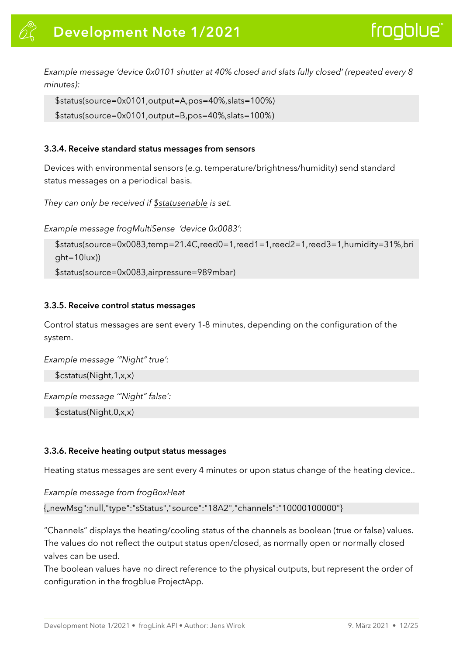*Example message 'device 0x0101 shutter at 40% closed and slats fully closed' (repeated every 8 minutes):* 

```
$status(source=0x0101,output=A,pos=40%,slats=100%)
```

```
$status(source=0x0101,output=B,pos=40%,slats=100%)
```
#### <span id="page-14-0"></span>**3.3.4. Receive standard status messages from sensors**

Devices with environmental sensors (e.g. temperature/brightness/humidity) send standard status messages on a periodical basis.

```
They can only be received if $statusenable is set.
```
*Example message frogMultiSense 'device 0x0083':* 

```
$status(source=0x0083,temp=21.4C,reed0=1,reed1=1,reed2=1,reed3=1,humidity=31%,bri
ght=10lux))
```
\$status(source=0x0083,airpressure=989mbar)

#### <span id="page-14-1"></span>**3.3.5. Receive control status messages**

Control status messages are sent every 1-8 minutes, depending on the configuration of the system.

*Example message ´"Night" true':* 

\$cstatus(Night,1,x,x)

*Example message '"Night" false':* 

\$cstatus(Night,0,x,x)

#### <span id="page-14-2"></span>**3.3.6. Receive heating output status messages**

Heating status messages are sent every 4 minutes or upon status change of the heating device..

*Example message from frogBoxHeat* 

{"newMsg":null,"type":"sStatus","source":"18A2","channels":"10000100000"}

"Channels" displays the heating/cooling status of the channels as boolean (true or false) values. The values do not reflect the output status open/closed, as normally open or normally closed valves can be used.

The boolean values have no direct reference to the physical outputs, but represent the order of configuration in the frogblue ProjectApp.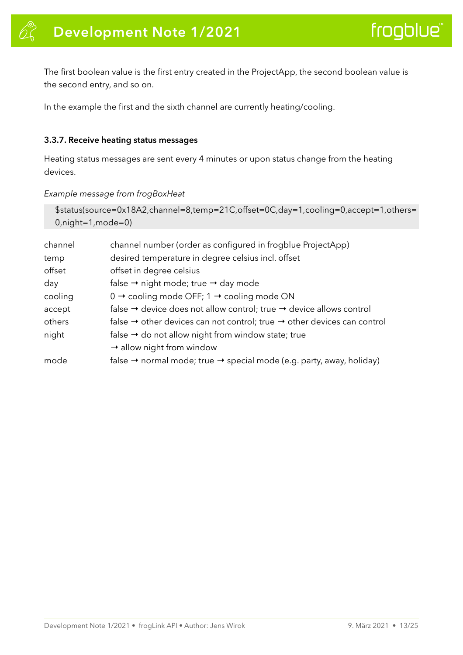The first boolean value is the first entry created in the ProjectApp, the second boolean value is the second entry, and so on.

In the example the first and the sixth channel are currently heating/cooling.

#### <span id="page-15-0"></span>**3.3.7. Receive heating status messages**

Heating status messages are sent every 4 minutes or upon status change from the heating devices.

#### *Example message from frogBoxHeat*

```
$status(source=0x18A2,channel=8,temp=21C,offset=0C,day=1,cooling=0,accept=1,others=
0,night=1,mode=0)
```

| channel | channel number (order as configured in frogblue ProjectApp)                                     |
|---------|-------------------------------------------------------------------------------------------------|
| temp    | desired temperature in degree celsius incl. offset                                              |
| offset  | offset in degree celsius                                                                        |
| day     | false $\rightarrow$ night mode; true $\rightarrow$ day mode                                     |
| cooling | $0 \rightarrow$ cooling mode OFF; 1 $\rightarrow$ cooling mode ON                               |
| accept  | false $\rightarrow$ device does not allow control; true $\rightarrow$ device allows control     |
| others  | false $\rightarrow$ other devices can not control; true $\rightarrow$ other devices can control |
| night   | false $\rightarrow$ do not allow night from window state; true                                  |
|         | $\rightarrow$ allow night from window                                                           |
| mode    | false $\rightarrow$ normal mode; true $\rightarrow$ special mode (e.g. party, away, holiday)    |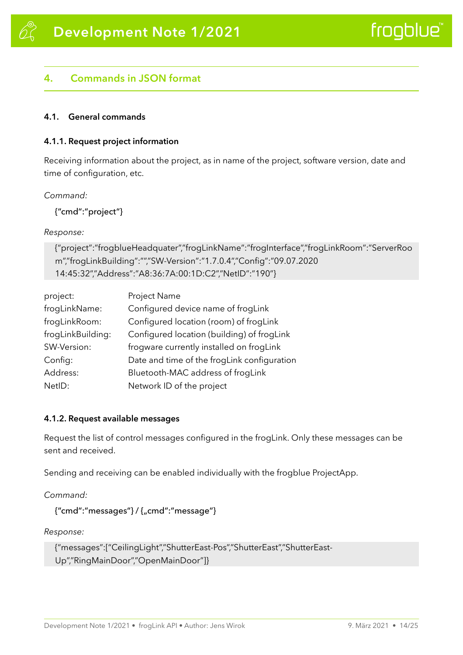# frogblue

#### <span id="page-16-0"></span>**4. Commands in JSON format**

#### <span id="page-16-1"></span>**4.1. General commands**

#### <span id="page-16-2"></span>**4.1.1. Request project information**

Receiving information about the project, as in name of the project, software version, date and time of configuration, etc.

#### *Command:*

{"cmd":"project"}

#### *Response:*

{"project":"frogblueHeadquater","frogLinkName":"frogInterface","frogLinkRoom":"ServerRoo m","frogLinkBuilding":"","SW-Version":"1.7.0.4","Config":"09.07.2020 14:45:32","Address":"A8:36:7A:00:1D:C2","NetID":"190"}

| project:          | Project Name                                |
|-------------------|---------------------------------------------|
| frogLinkName:     | Configured device name of frogLink          |
| frogLinkRoom:     | Configured location (room) of frogLink      |
| frogLinkBuilding: | Configured location (building) of frogLink  |
| SW-Version:       | frogware currently installed on froqLink    |
| Config:           | Date and time of the frogLink configuration |
| Address:          | Bluetooth-MAC address of frogLink           |
| NetID:            | Network ID of the project                   |

#### <span id="page-16-3"></span>**4.1.2. Request available messages**

Request the list of control messages configured in the frogLink. Only these messages can be sent and received.

Sending and receiving can be enabled individually with the frogblue ProjectApp.

#### *Command:*

```
{"cmd":"messages"} / {"cmd":"message"}
```
#### *Response:*

{"messages":["CeilingLight","ShutterEast-Pos","ShutterEast","ShutterEast-Up","RingMainDoor","OpenMainDoor"]}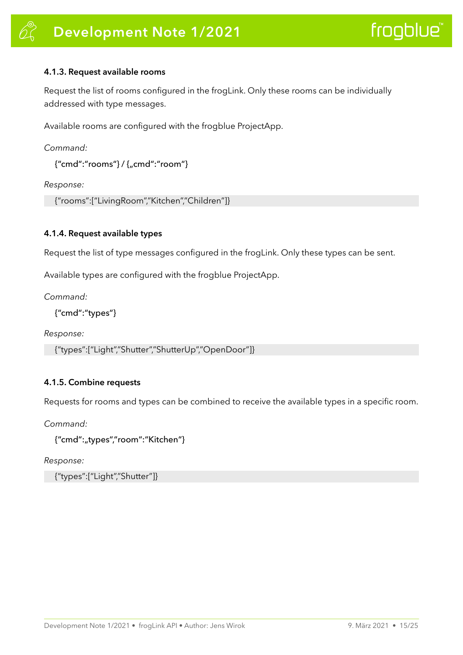#### <span id="page-17-0"></span>**4.1.3. Request available rooms**

Request the list of rooms configured in the frogLink. Only these rooms can be individually addressed with type messages.

Available rooms are configured with the frogblue ProjectApp.

*Command:* 

{"cmd":"rooms"} / {"cmd":"room"}

*Response:* 

{"rooms":["LivingRoom","Kitchen","Children"]}

#### <span id="page-17-1"></span>**4.1.4. Request available types**

Request the list of type messages configured in the frogLink. Only these types can be sent.

Available types are configured with the frogblue ProjectApp.

*Command:* 

{"cmd":"types"}

*Response:* 

{"types":["Light","Shutter","ShutterUp","OpenDoor"]}

#### <span id="page-17-2"></span>**4.1.5. Combine requests**

Requests for rooms and types can be combined to receive the available types in a specific room.

*Command:* 

{"cmd":"types","room":"Kitchen"}

*Response:* 

{"types":["Light","Shutter"]}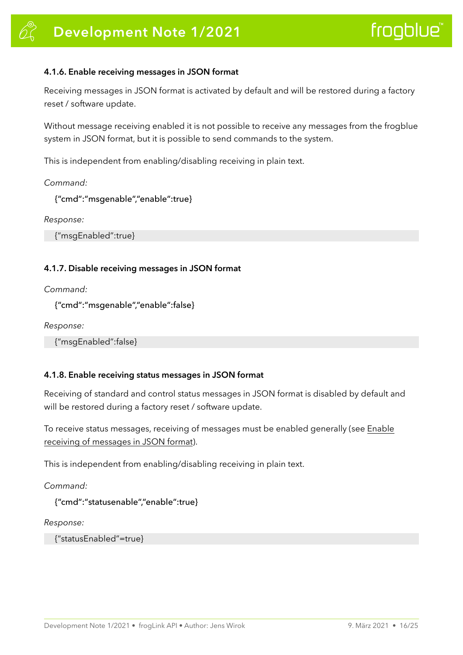#### <span id="page-18-0"></span>**4.1.6. Enable receiving messages in JSON format**

Receiving messages in JSON format is activated by default and will be restored during a factory reset / software update.

Without message receiving enabled it is not possible to receive any messages from the frogblue system in JSON format, but it is possible to send commands to the system.

This is independent from enabling/disabling receiving in plain text.

#### *Command:*

{"cmd":"msgenable","enable":true}

*Response:* 

{"msgEnabled":true}

#### <span id="page-18-1"></span>**4.1.7. Disable receiving messages in JSON format**

*Command:* 

```
{"cmd":"msgenable","enable":false}
```
*Response:* 

{"msgEnabled":false}

#### <span id="page-18-2"></span>**4.1.8. Enable receiving status messages in JSON format**

Receiving of standard and control status messages in JSON format is disabled by default and will be restored during a factory reset / software update.

To receive status messages, receiving of messages must be enabled generally (see Enable receiving of messages in JSON format).

This is independent from enabling/disabling receiving in plain text.

*Command:* 

```
{"cmd":"statusenable","enable":true}
```
*Response:* 

```
{"statusEnabled"=true}
```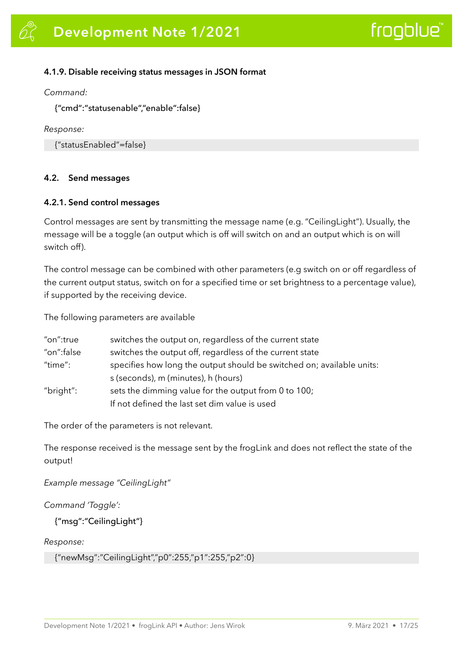#### <span id="page-19-0"></span>**4.1.9. Disable receiving status messages in JSON format**

*Command:* 

{"cmd":"statusenable","enable":false}

*Response:* 

{"statusEnabled"=false}

#### <span id="page-19-1"></span>**4.2. Send messages**

#### <span id="page-19-2"></span>**4.2.1. Send control messages**

Control messages are sent by transmitting the message name (e.g. "CeilingLight"). Usually, the message will be a toggle (an output which is off will switch on and an output which is on will switch off).

The control message can be combined with other parameters (e.g switch on or off regardless of the current output status, switch on for a specified time or set brightness to a percentage value), if supported by the receiving device.

The following parameters are available

| "on":true  | switches the output on, regardless of the current state               |  |
|------------|-----------------------------------------------------------------------|--|
| "on":false | switches the output off, regardless of the current state              |  |
| "time":    | specifies how long the output should be switched on; available units: |  |
|            | s (seconds), m (minutes), h (hours)                                   |  |
| "bright":  | sets the dimming value for the output from 0 to 100;                  |  |
|            | If not defined the last set dim value is used                         |  |

The order of the parameters is not relevant.

The response received is the message sent by the frogLink and does not reflect the state of the output!

*Example message "CeilingLight"* 

#### *Command 'Toggle':*

```
{"msg":"CeilingLight"}
```
*Response:* 

{"newMsg":"CeilingLight","p0":255,"p1":255,"p2":0}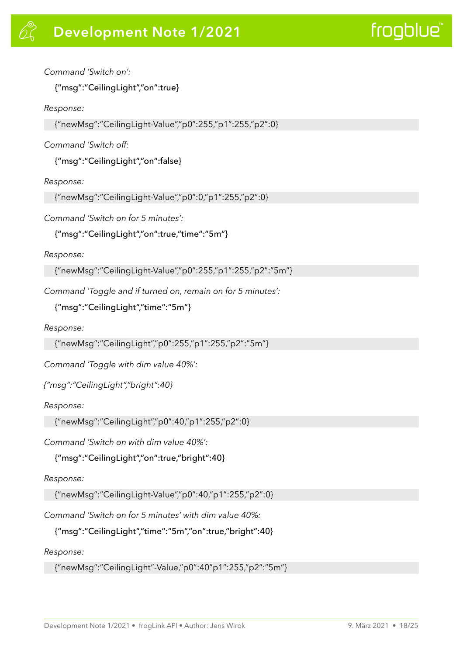#### *Command 'Switch on':*

{"msg":"CeilingLight","on":true}

#### *Response:*

{"newMsg":"CeilingLight-Value","p0":255,"p1":255,"p2":0}

#### *Command 'Switch off:*

{"msg":"CeilingLight","on":false}

#### *Response:*

{"newMsg":"CeilingLight-Value","p0":0,"p1":255,"p2":0}

*Command 'Switch on for 5 minutes':* 

{"msg":"CeilingLight","on":true,"time":"5m"}

#### *Response:*

{"newMsg":"CeilingLight-Value","p0":255,"p1":255,"p2":"5m"}

*Command 'Toggle and if turned on, remain on for 5 minutes':* 

{"msg":"CeilingLight","time":"5m"}

#### *Response:*

{"newMsg":"CeilingLight","p0":255,"p1":255,"p2":"5m"}

*Command 'Toggle with dim value 40%':* 

*{"msg":"CeilingLight","bright":40}* 

*Response:* 

{"newMsg":"CeilingLight","p0":40,"p1":255,"p2":0}

*Command 'Switch on with dim value 40%':* 

{"msg":"CeilingLight","on":true,"bright":40}

#### *Response:*

{"newMsg":"CeilingLight-Value","p0":40,"p1":255,"p2":0}

*Command 'Switch on for 5 minutes' with dim value 40%:* 

{"msg":"CeilingLight","time":"5m","on":true,"bright":40}

*Response:* 

{"newMsg":"CeilingLight"-Value,"p0":40"p1":255,"p2":"5m"}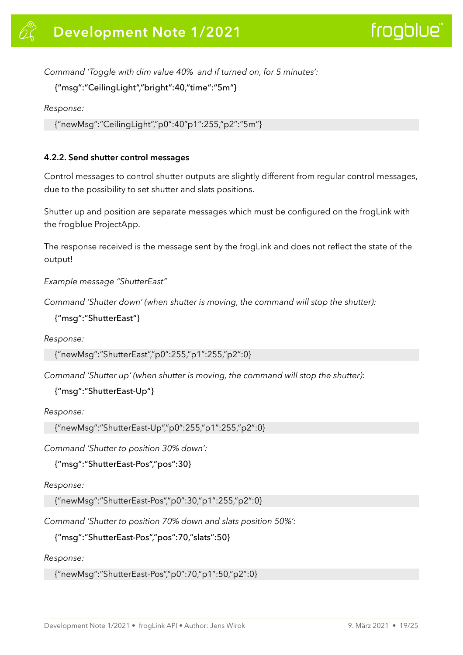*Command 'Toggle with dim value 40% and if turned on, for 5 minutes':* 

{"msg":"CeilingLight","bright":40,"time":"5m"}

*Response:* 

{"newMsg":"CeilingLight","p0":40"p1":255,"p2":"5m"}

#### <span id="page-21-0"></span>**4.2.2. Send shutter control messages**

Control messages to control shutter outputs are slightly different from regular control messages, due to the possibility to set shutter and slats positions.

Shutter up and position are separate messages which must be configured on the frogLink with the frogblue ProjectApp.

The response received is the message sent by the frogLink and does not reflect the state of the output!

*Example message "ShutterEast"* 

*Command 'Shutter down' (when shutter is moving, the command will stop the shutter):* 

{"msg":"ShutterEast"}

*Response:* 

{"newMsg":"ShutterEast","p0":255,"p1":255,"p2":0}

*Command 'Shutter up' (when shutter is moving, the command will stop the shutter):* 

```
{"msg":"ShutterEast-Up"}
```
*Response:* 

{"newMsg":"ShutterEast-Up","p0":255,"p1":255,"p2":0}

*Command 'Shutter to position 30% down':* 

```
{"msg":"ShutterEast-Pos","pos":30}
```
*Response:* 

{"newMsg":"ShutterEast-Pos","p0":30,"p1":255,"p2":0}

*Command 'Shutter to position 70% down and slats position 50%':* 

{"msg":"ShutterEast-Pos","pos":70,"slats":50}

#### *Response:*

{"newMsg":"ShutterEast-Pos","p0":70,"p1":50,"p2":0}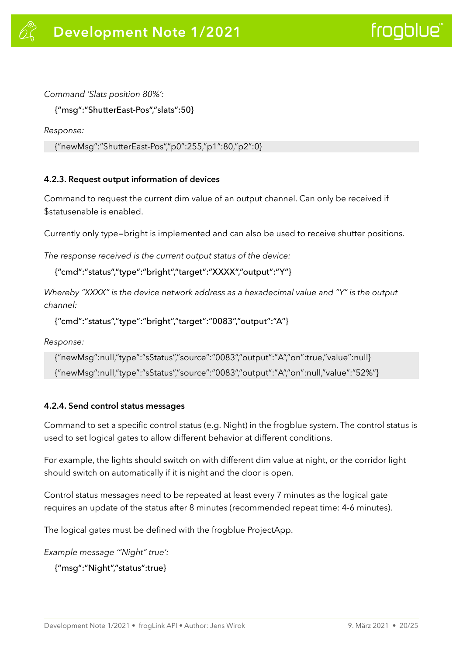*Command 'Slats position 80%':* 

{"msg":"ShutterEast-Pos","slats":50}

*Response:* 

```
{"newMsg":"ShutterEast-Pos","p0":255,"p1":80,"p2":0}
```
#### <span id="page-22-0"></span>**4.2.3. Request output information of devices**

Command to request the current dim value of an output channel. Can only be received if \$statusenable is enabled.

Currently only type=bright is implemented and can also be used to receive shutter positions.

*The response received is the current output status of the device:* 

{"cmd":"status","type":"bright","target":"XXXX","output":"Y"}

*Whereby "XXXX" is the device network address as a hexadecimal value and "Y" is the output channel:* 

{"cmd":"status","type":"bright","target":"0083","output":"A"}

*Response:* 

```
{"newMsg":null,"type":"sStatus","source":"0083","output":"A","on":true,"value":null} 
{"newMsg":null,"type":"sStatus","source":"0083","output":"A","on":null,"value":"52%"}
```
#### <span id="page-22-1"></span>**4.2.4. Send control status messages**

Command to set a specific control status (e.g. Night) in the frogblue system. The control status is used to set logical gates to allow different behavior at different conditions.

For example, the lights should switch on with different dim value at night, or the corridor light should switch on automatically if it is night and the door is open.

Control status messages need to be repeated at least every 7 minutes as the logical gate requires an update of the status after 8 minutes (recommended repeat time: 4-6 minutes).

The logical gates must be defined with the frogblue ProjectApp.

*Example message '"Night" true':* 

{"msg":"Night","status":true}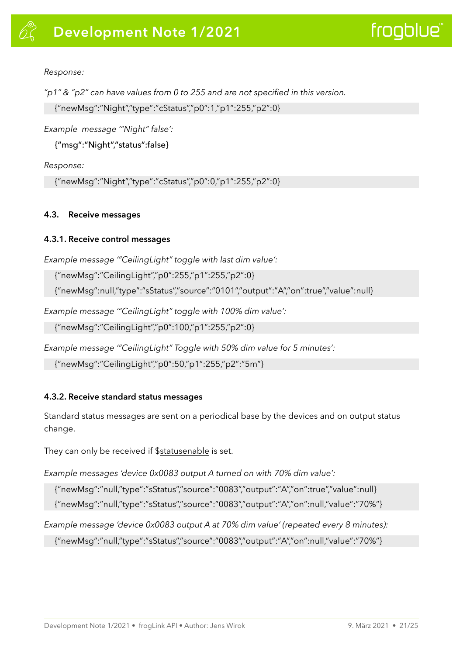#### *Response:*

*"p1" & "p2" can have values from 0 to 255 and are not specified in this version.* 

{"newMsg":"Night","type":"cStatus","p0":1,"p1":255,"p2":0}

*Example message '"Night" false':* 

{"msg":"Night","status":false}

*Response:* 

{"newMsg":"Night","type":"cStatus","p0":0,"p1":255,"p2":0}

#### <span id="page-23-0"></span>**4.3. Receive messages**

#### <span id="page-23-1"></span>**4.3.1. Receive control messages**

*Example message '"CeilingLight" toggle with last dim value':* 

{"newMsg":"CeilingLight","p0":255,"p1":255,"p2":0}

{"newMsg":null,"type":"sStatus","source":"0101","output":"A","on":true","value":null}

*Example message '"CeilingLight" toggle with 100% dim value':* 

{"newMsg":"CeilingLight","p0":100,"p1":255,"p2":0}

*Example message '"CeilingLight" Toggle with 50% dim value for 5 minutes':* 

{"newMsg":"CeilingLight","p0":50,"p1":255,"p2":"5m"}

#### <span id="page-23-2"></span>**4.3.2. Receive standard status messages**

Standard status messages are sent on a periodical base by the devices and on output status change.

They can only be received if \$statusenable is set.

*Example messages 'device 0x0083 output A turned on with 70% dim value':* 

{"newMsg":"null,"type":"sStatus","source":"0083","output":"A","on":true","value":null}

{"newMsg":"null,"type":"sStatus","source":"0083","output":"A","on":null,"value":"70%"}

*Example message 'device 0x0083 output A at 70% dim value' (repeated every 8 minutes):* 

{"newMsg":"null,"type":"sStatus","source":"0083","output":"A","on":null,"value":"70%"}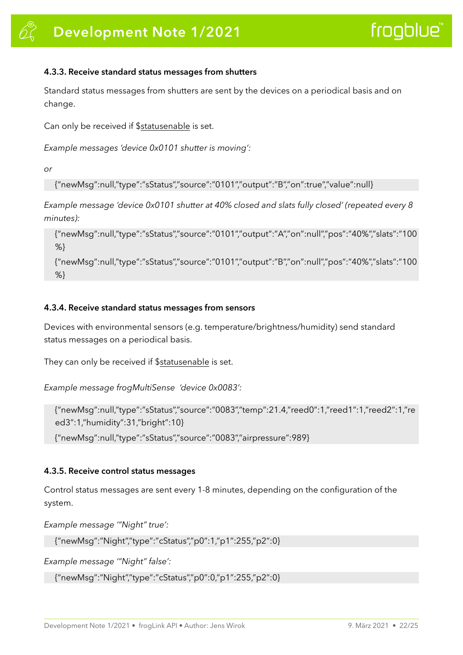#### <span id="page-24-0"></span>**4.3.3. Receive standard status messages from shutters**

Standard status messages from shutters are sent by the devices on a periodical basis and on change.

Can only be received if \$statusenable is set.

*Example messages 'device 0x0101 shutter is moving':* 

*or* 

{"newMsg":null,"type":"sStatus","source":"0101","output":"B","on":true","value":null}

*Example message 'device 0x0101 shutter at 40% closed and slats fully closed' (repeated every 8 minutes):* 

{"newMsg":null,"type":"sStatus","source":"0101","output":"A","on":null","pos":"40%","slats":"100 %}

{"newMsg":null,"type":"sStatus","source":"0101","output":"B","on":null","pos":"40%","slats":"100 %}

#### <span id="page-24-1"></span>**4.3.4. Receive standard status messages from sensors**

Devices with environmental sensors (e.g. temperature/brightness/humidity) send standard status messages on a periodical basis.

They can only be received if \$statusenable is set.

*Example message frogMultiSense 'device 0x0083':*

{"newMsg":null,"type":"sStatus","source":"0083","temp":21.4,"reed0":1,"reed1":1,"reed2":1,"re ed3":1,"humidity":31,"bright":10}

{"newMsg":null,"type":"sStatus","source":"0083","airpressure":989}

#### <span id="page-24-2"></span>**4.3.5. Receive control status messages**

Control status messages are sent every 1-8 minutes, depending on the configuration of the system.

*Example message '"Night" true':* 

{"newMsg":"Night","type":"cStatus","p0":1,"p1":255,"p2":0}

*Example message '"Night" false':* 

{"newMsg":"Night","type":"cStatus","p0":0,"p1":255,"p2":0}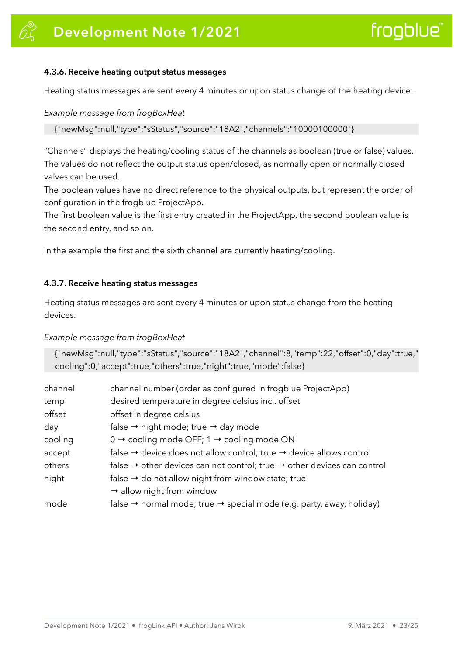#### <span id="page-25-0"></span>**4.3.6. Receive heating output status messages**

Heating status messages are sent every 4 minutes or upon status change of the heating device..

#### *Example message from frogBoxHeat*

{"newMsg":null,"type":"sStatus","source":"18A2","channels":"10000100000"}

"Channels" displays the heating/cooling status of the channels as boolean (true or false) values. The values do not reflect the output status open/closed, as normally open or normally closed valves can be used.

The boolean values have no direct reference to the physical outputs, but represent the order of configuration in the frogblue ProjectApp.

The first boolean value is the first entry created in the ProjectApp, the second boolean value is the second entry, and so on.

In the example the first and the sixth channel are currently heating/cooling.

#### <span id="page-25-1"></span>**4.3.7. Receive heating status messages**

Heating status messages are sent every 4 minutes or upon status change from the heating devices.

#### *Example message from frogBoxHeat*

{"newMsg":null,"type":"sStatus","source":"18A2","channel":8,"temp":22,"offset":0,"day":true," cooling":0,"accept":true,"others":true,"night":true,"mode":false}

| channel | channel number (order as configured in frogblue ProjectApp)                                     |  |
|---------|-------------------------------------------------------------------------------------------------|--|
| temp    | desired temperature in degree celsius incl. offset                                              |  |
| offset  | offset in degree celsius                                                                        |  |
| day     | false $\rightarrow$ night mode; true $\rightarrow$ day mode                                     |  |
| cooling | $0 \rightarrow$ cooling mode OFF; 1 $\rightarrow$ cooling mode ON                               |  |
| accept  | false $\rightarrow$ device does not allow control; true $\rightarrow$ device allows control     |  |
| others  | false $\rightarrow$ other devices can not control; true $\rightarrow$ other devices can control |  |
| night   | false $\rightarrow$ do not allow night from window state; true                                  |  |
|         | $\rightarrow$ allow night from window                                                           |  |
| mode    | false $\rightarrow$ normal mode; true $\rightarrow$ special mode (e.g. party, away, holiday)    |  |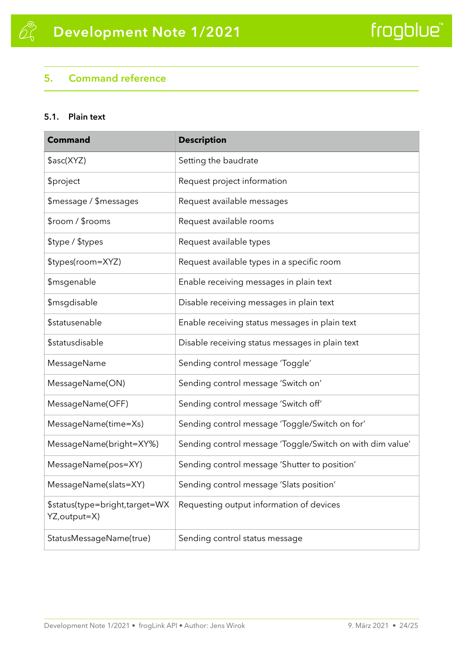### <span id="page-26-0"></span>**5. Command reference**

#### <span id="page-26-1"></span>**5.1. Plain text**

| <b>Command</b>                                  | <b>Description</b>                                        |
|-------------------------------------------------|-----------------------------------------------------------|
| \$asc(XYZ)                                      | Setting the baudrate                                      |
| \$project                                       | Request project information                               |
| \$message / \$messages                          | Request available messages                                |
| \$room / \$rooms                                | Request available rooms                                   |
| \$type / \$types                                | Request available types                                   |
| \$types(room=XYZ)                               | Request available types in a specific room                |
| \$msgenable                                     | Enable receiving messages in plain text                   |
| \$msgdisable                                    | Disable receiving messages in plain text                  |
| <b>\$statusenable</b>                           | Enable receiving status messages in plain text            |
| <b>\$statusdisable</b>                          | Disable receiving status messages in plain text           |
| MessageName                                     | Sending control message 'Toggle'                          |
| MessageName(ON)                                 | Sending control message 'Switch on'                       |
| MessageName(OFF)                                | Sending control message 'Switch off'                      |
| MessageName(time=Xs)                            | Sending control message 'Toggle/Switch on for'            |
| MessageName(bright=XY%)                         | Sending control message 'Toggle/Switch on with dim value' |
| MessageName(pos=XY)                             | Sending control message 'Shutter to position'             |
| MessageName(slats=XY)                           | Sending control message 'Slats position'                  |
| \$status(type=bright,target=WX<br>YZ, output=X) | Requesting output information of devices                  |
| StatusMessageName(true)                         | Sending control status message                            |